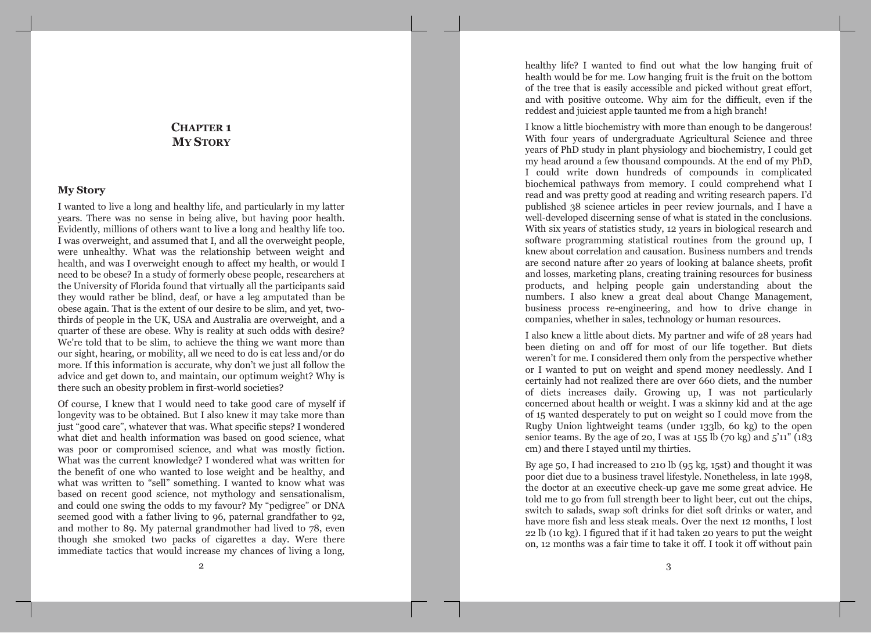# **CHAPTER 1 MY STORY**

## **My Story**

I wanted to live a long and healthy life, and particularly in my latter years. There was no sense in being alive, but having poor health. Evidently, millions of others want to live a long and healthy life too. I was overweight, and assumed that I, and all the overweight people, were unhealthy. What was the relationship between weight and health, and was I overweight enough to affect my health, or would I need to be obese? In a study of formerly obese people, researchers at the University of Florida found that virtually all the participants said they would rather be blind, deaf, or have a leg amputated than be obese again. That is the extent of our desire to be slim, and yet, twothirds of people in the UK, USA and Australia are overweight, and a quarter of these are obese. Why is reality at such odds with desire? We're told that to be slim, to achieve the thing we want more than our sight, hearing, or mobility, all we need to do is eat less and/or do more. If this information is accurate, why don't we just all follow the advice and get down to, and maintain, our optimum weight? Why is there such an obesity problem in first-world societies?

Of course, I knew that I would need to take good care of myself if longevity was to be obtained. But I also knew it may take more than just "good care", whatever that was. What specific steps? I wondered what diet and health information was based on good science, what was poor or compromised science, and what was mostly fiction. What was the current knowledge? I wondered what was written for the benefit of one who wanted to lose weight and be healthy, and what was written to "sell" something. I wanted to know what was based on recent good science, not mythology and sensationalism, and could one swing the odds to my favour? My "pedigree" or DNA seemed good with a father living to 96, paternal grandfather to 92. and mother to 89. My paternal grandmother had lived to 78, even though she smoked two packs of cigarettes a day. Were there immediate tactics that would increase my chances of living a long,

healthy life? I wanted to find out what the low hanging fruit of health would be for me. Low hanging fruit is the fruit on the bottom of the tree that is easily accessible and picked without great effort, and with positive outcome. Why aim for the difficult, even if the reddest and juiciest apple taunted me from a high branch!

I know a little biochemistry with more than enough to be dangerous! With four years of undergraduate Agricultural Science and three years of PhD study in plant physiology and biochemistry, I could get my head around a few thousand compounds. At the end of my PhD, I could write down hundreds of compounds in complicated biochemical pathways from memory. I could comprehend what I read and was pretty good at reading and writing research papers. I'd published 38 science articles in peer review journals, and I have a well-developed discerning sense of what is stated in the conclusions. With six years of statistics study, 12 years in biological research and software programming statistical routines from the ground up, I knew about correlation and causation. Business numbers and trends are second nature after 20 years of looking at balance sheets, profit and losses, marketing plans, creating training resources for business products, and helping people gain understanding about the numbers. I also knew a great deal about Change Management, business process re-engineering, and how to drive change in companies, whether in sales, technology or human resources.

I also knew a little about diets. My partner and wife of 28 years had been dieting on and off for most of our life together. But diets weren't for me. I considered them only from the perspective whether or I wanted to put on weight and spend money needlessly. And I certainly had not realized there are over 660 diets, and the number of diets increases daily. Growing up, I was not particularly concerned about health or weight. I was a skinny kid and at the age of 15 wanted desperately to put on weight so I could move from the Rugby Union lightweight teams (under 133lb, 60 kg) to the open senior teams. By the age of 20, I was at  $155$  lb (70 kg) and  $5'11''$  (183 cm) and there I stayed until my thirties.

By age 50, I had increased to 210 lb  $(95 \text{ kg}, 15 \text{ st})$  and thought it was poor diet due to a business travel lifestyle. Nonetheless, in late 1998, the doctor at an executive check-up gave me some great advice. He told me to go from full strength beer to light beer, cut out the chips, switch to salads, swap soft drinks for diet soft drinks or water, and have more fish and less steak meals. Over the next 12 months, I lost 22 lb (10 kg). I figured that if it had taken 20 years to put the weight on, 12 months was a fair time to take it off. I took it off without pain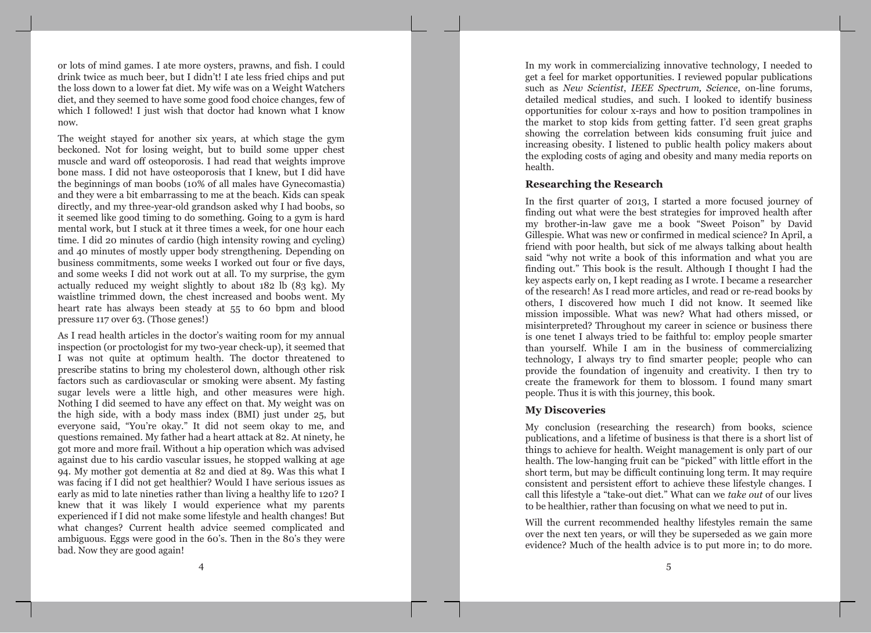or lots of mind games. I ate more oysters, prawns, and fish. I could drink twice as much beer, but I didn't! I ate less fried chips and put the loss down to a lower fat diet. My wife was on a Weight Watchers diet, and they seemed to have some good food choice changes, few of which I followed! I just wish that doctor had known what I know now.

The weight stayed for another six years, at which stage the gym beckoned. Not for losing weight, but to build some upper chest muscle and ward off osteoporosis. I had read that weights improve bone mass. I did not have osteoporosis that I knew, but I did have the beginnings of man boobs (10% of all males have Gynecomastia) and they were a bit embarrassing to me at the beach. Kids can speak directly, and my three-year-old grandson asked why I had boobs, so it seemed like good timing to do something. Going to a gym is hard mental work, but I stuck at it three times a week, for one hour each time. I did 20 minutes of cardio (high intensity rowing and cycling) and 40 minutes of mostly upper body strengthening. Depending on business commitments, some weeks I worked out four or five days, and some weeks I did not work out at all. To my surprise, the gym actually reduced my weight slightly to about 182 lb (83 kg). My waistline trimmed down, the chest increased and boobs went. My heart rate has always been steady at 55 to 60 bpm and blood pressure 117 over 63. (Those genes!)

As I read health articles in the doctor's waiting room for my annual inspection (or proctologist for my two-year check-up), it seemed that I was not quite at optimum health. The doctor threatened to prescribe statins to bring my cholesterol down, although other risk factors such as cardiovascular or smoking were absent. My fasting sugar levels were a little high, and other measures were high. Nothing I did seemed to have any effect on that. My weight was on the high side, with a body mass index (BMI) just under 25, but everyone said, "You're okay." It did not seem okay to me, and questions remained. My father had a heart attack at 82. At ninety, he got more and more frail. Without a hip operation which was advised against due to his cardio vascular issues, he stopped walking at age 94. My mother got dementia at 82 and died at 89. Was this what I was facing if I did not get healthier? Would I have serious issues as early as mid to late nineties rather than living a healthy life to 120? I knew that it was likely I would experience what my parents experienced if I did not make some lifestyle and health changes! But what changes? Current health advice seemed complicated and ambiguous. Eggs were good in the 60's. Then in the 80's they were bad. Now they are good again!

In my work in commercializing innovative technology, I needed to get a feel for market opportunities. I reviewed popular publications such as New Scientist, IEEE Spectrum, Science, on-line forums, detailed medical studies, and such. I looked to identify business opportunities for colour x-rays and how to position trampolines in the market to stop kids from getting fatter. I'd seen great graphs showing the correlation between kids consuming fruit juice and increasing obesity. I listened to public health policy makers about the exploding costs of aging and obesity and many media reports on health.

### **Researching the Research**

In the first quarter of 2013, I started a more focused journey of finding out what were the best strategies for improved health after my brother-in-law gave me a book "Sweet Poison" by David Gillespie. What was new or confirmed in medical science? In April, a friend with poor health, but sick of me always talking about health said "why not write a book of this information and what you are finding out." This book is the result. Although I thought I had the key aspects early on, I kept reading as I wrote. I became a researcher of the research! As I read more articles, and read or re-read books by others, I discovered how much I did not know. It seemed like mission impossible. What was new? What had others missed, or misinterpreted? Throughout my career in science or business there is one tenet I always tried to be faithful to: employ people smarter than yourself. While I am in the business of commercializing technology, I always try to find smarter people; people who can provide the foundation of ingenuity and creativity. I then try to create the framework for them to blossom. I found many smart people. Thus it is with this journey, this book.

### **My Discoveries**

My conclusion (researching the research) from books, science publications, and a lifetime of business is that there is a short list of things to achieve for health. Weight management is only part of our health. The low-hanging fruit can be "picked" with little effort in the short term, but may be difficult continuing long term. It may require consistent and persistent effort to achieve these lifestyle changes. I call this lifestyle a "take-out diet." What can we take out of our lives to be healthier, rather than focusing on what we need to put in.

Will the current recommended healthy lifestyles remain the same over the next ten years, or will they be superseded as we gain more evidence? Much of the health advice is to put more in: to do more.